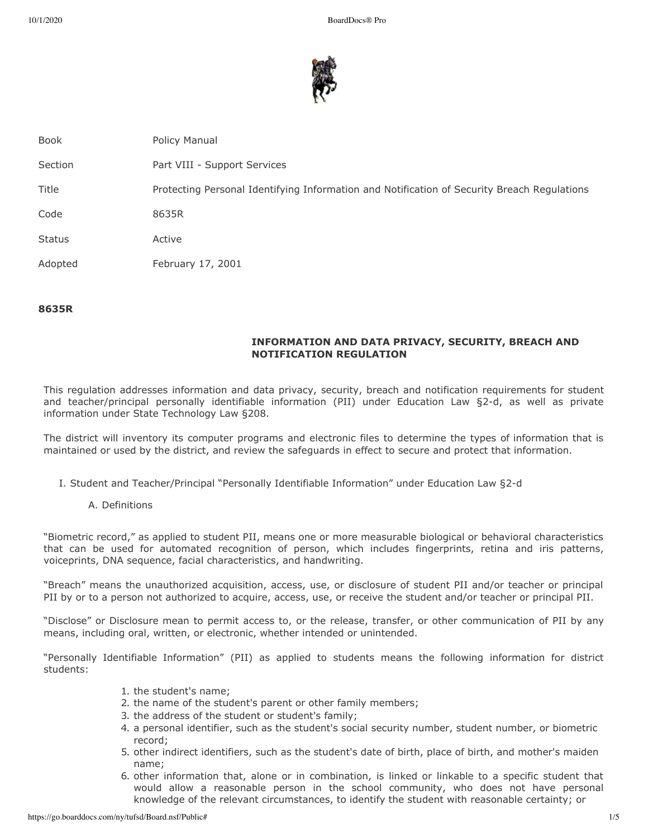

Book **Policy Manual** Section **Part VIII - Support Services** Title Protecting Personal Identifying Information and Notification of Security Breach Regulations Code 8635R Status Active Adopted February 17, 2001

#### **8635R**

# **INFORMATION AND DATA PRIVACY, SECURITY, BREACH AND NOTIFICATION REGULATION**

This regulation addresses information and data privacy, security, breach and notification requirements for student and teacher/principal personally identifiable information (PII) under Education Law §2-d, as well as private information under State Technology Law §208.

The district will inventory its computer programs and electronic files to determine the types of information that is maintained or used by the district, and review the safeguards in effect to secure and protect that information.

- I. Student and Teacher/Principal "Personally Identifiable Information" under Education Law §2-d
	- A. Definitions

"Biometric record," as applied to student PII, means one or more measurable biological or behavioral characteristics that can be used for automated recognition of person, which includes fingerprints, retina and iris patterns, voiceprints, DNA sequence, facial characteristics, and handwriting.

"Breach" means the unauthorized acquisition, access, use, or disclosure of student PII and/or teacher or principal PII by or to a person not authorized to acquire, access, use, or receive the student and/or teacher or principal PII.

"Disclose" or Disclosure mean to permit access to, or the release, transfer, or other communication of PII by any means, including oral, written, or electronic, whether intended or unintended.

"Personally Identifiable Information" (PII) as applied to students means the following information for district students:

- 1. the student's name;
- 2. the name of the student's parent or other family members;
- 3. the address of the student or student's family;
- 4. a personal identifier, such as the student's social security number, student number, or biometric record;
- 5. other indirect identifiers, such as the student's date of birth, place of birth, and mother's maiden name;
- 6. other information that, alone or in combination, is linked or linkable to a specific student that would allow a reasonable person in the school community, who does not have personal knowledge of the relevant circumstances, to identify the student with reasonable certainty; or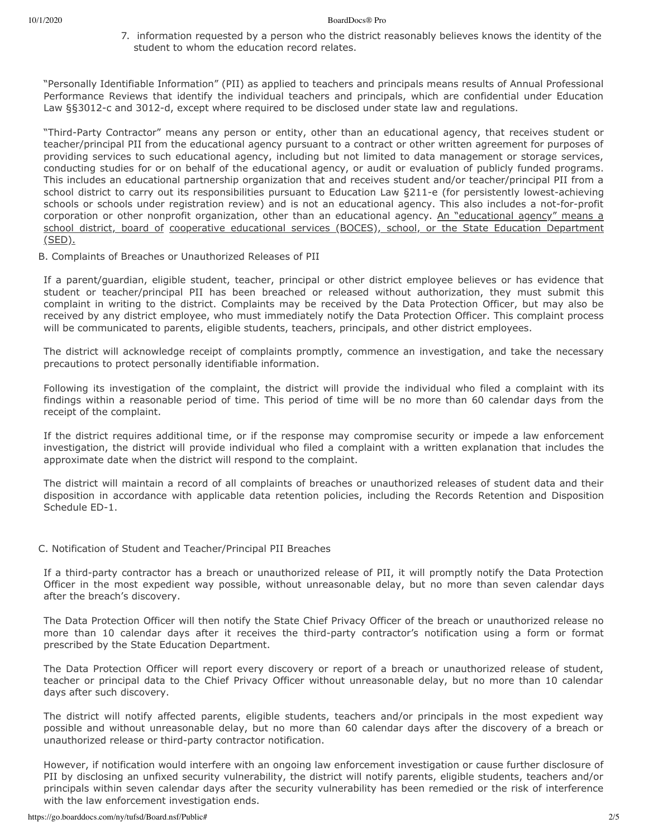#### 10/1/2020 BoardDocs® Pro

7. information requested by a person who the district reasonably believes knows the identity of the student to whom the education record relates.

"Personally Identifiable Information" (PII) as applied to teachers and principals means results of Annual Professional Performance Reviews that identify the individual teachers and principals, which are confidential under Education Law §§3012-c and 3012-d, except where required to be disclosed under state law and regulations.

"Third-Party Contractor" means any person or entity, other than an educational agency, that receives student or teacher/principal PII from the educational agency pursuant to a contract or other written agreement for purposes of providing services to such educational agency, including but not limited to data management or storage services, conducting studies for or on behalf of the educational agency, or audit or evaluation of publicly funded programs. This includes an educational partnership organization that and receives student and/or teacher/principal PII from a school district to carry out its responsibilities pursuant to Education Law §211-e (for persistently lowest-achieving schools or schools under registration review) and is not an educational agency. This also includes a not-for-profit corporation or other nonprofit organization, other than an educational agency. An "educational agency" means a school district, board of cooperative educational services (BOCES), school, or the State Education Department (SED).

B. Complaints of Breaches or Unauthorized Releases of PII

If a parent/guardian, eligible student, teacher, principal or other district employee believes or has evidence that student or teacher/principal PII has been breached or released without authorization, they must submit this complaint in writing to the district. Complaints may be received by the Data Protection Officer, but may also be received by any district employee, who must immediately notify the Data Protection Officer. This complaint process will be communicated to parents, eligible students, teachers, principals, and other district employees.

The district will acknowledge receipt of complaints promptly, commence an investigation, and take the necessary precautions to protect personally identifiable information.

Following its investigation of the complaint, the district will provide the individual who filed a complaint with its findings within a reasonable period of time. This period of time will be no more than 60 calendar days from the receipt of the complaint.

If the district requires additional time, or if the response may compromise security or impede a law enforcement investigation, the district will provide individual who filed a complaint with a written explanation that includes the approximate date when the district will respond to the complaint.

The district will maintain a record of all complaints of breaches or unauthorized releases of student data and their disposition in accordance with applicable data retention policies, including the Records Retention and Disposition Schedule ED-1.

## C. Notification of Student and Teacher/Principal PII Breaches

If a third-party contractor has a breach or unauthorized release of PII, it will promptly notify the Data Protection Officer in the most expedient way possible, without unreasonable delay, but no more than seven calendar days after the breach's discovery.

The Data Protection Officer will then notify the State Chief Privacy Officer of the breach or unauthorized release no more than 10 calendar days after it receives the third-party contractor's notification using a form or format prescribed by the State Education Department.

The Data Protection Officer will report every discovery or report of a breach or unauthorized release of student, teacher or principal data to the Chief Privacy Officer without unreasonable delay, but no more than 10 calendar days after such discovery.

The district will notify affected parents, eligible students, teachers and/or principals in the most expedient way possible and without unreasonable delay, but no more than 60 calendar days after the discovery of a breach or unauthorized release or third-party contractor notification.

However, if notification would interfere with an ongoing law enforcement investigation or cause further disclosure of PII by disclosing an unfixed security vulnerability, the district will notify parents, eligible students, teachers and/or principals within seven calendar days after the security vulnerability has been remedied or the risk of interference with the law enforcement investigation ends.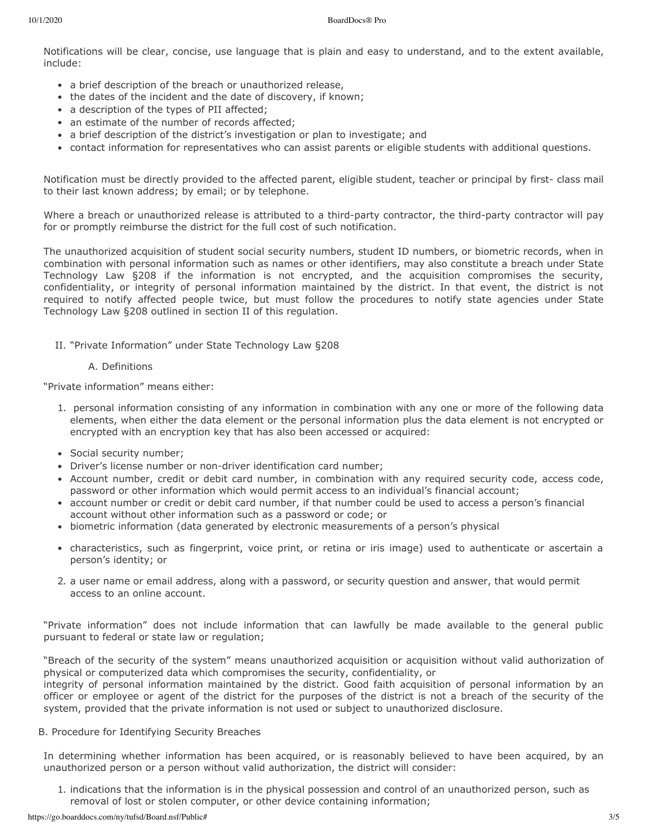Notifications will be clear, concise, use language that is plain and easy to understand, and to the extent available, include:

- a brief description of the breach or unauthorized release,
- the dates of the incident and the date of discovery, if known;
- a description of the types of PII affected;
- an estimate of the number of records affected;
- a brief description of the district's investigation or plan to investigate; and
- contact information for representatives who can assist parents or eligible students with additional questions.

Notification must be directly provided to the affected parent, eligible student, teacher or principal by first- class mail to their last known address; by email; or by telephone.

Where a breach or unauthorized release is attributed to a third-party contractor, the third-party contractor will pay for or promptly reimburse the district for the full cost of such notification.

The unauthorized acquisition of student social security numbers, student ID numbers, or biometric records, when in combination with personal information such as names or other identifiers, may also constitute a breach under State Technology Law §208 if the information is not encrypted, and the acquisition compromises the security, confidentiality, or integrity of personal information maintained by the district. In that event, the district is not required to notify affected people twice, but must follow the procedures to notify state agencies under State Technology Law §208 outlined in section II of this regulation.

II. "Private Information" under State Technology Law §208

## A. Definitions

"Private information" means either:

- 1. personal information consisting of any information in combination with any one or more of the following data elements, when either the data element or the personal information plus the data element is not encrypted or encrypted with an encryption key that has also been accessed or acquired:
- Social security number;
- Driver's license number or non-driver identification card number;
- Account number, credit or debit card number, in combination with any required security code, access code, password or other information which would permit access to an individual's financial account;
- account number or credit or debit card number, if that number could be used to access a person's financial account without other information such as a password or code; or
- biometric information (data generated by electronic measurements of a person's physical
- characteristics, such as fingerprint, voice print, or retina or iris image) used to authenticate or ascertain a person's identity; or
- 2. a user name or email address, along with a password, or security question and answer, that would permit access to an online account.

"Private information" does not include information that can lawfully be made available to the general public pursuant to federal or state law or regulation;

"Breach of the security of the system" means unauthorized acquisition or acquisition without valid authorization of physical or computerized data which compromises the security, confidentiality, or integrity of personal information maintained by the district. Good faith acquisition of personal information by an officer or employee or agent of the district for the purposes of the district is not a breach of the security of the system, provided that the private information is not used or subject to unauthorized disclosure.

## B. Procedure for Identifying Security Breaches

In determining whether information has been acquired, or is reasonably believed to have been acquired, by an unauthorized person or a person without valid authorization, the district will consider:

1. indications that the information is in the physical possession and control of an unauthorized person, such as removal of lost or stolen computer, or other device containing information;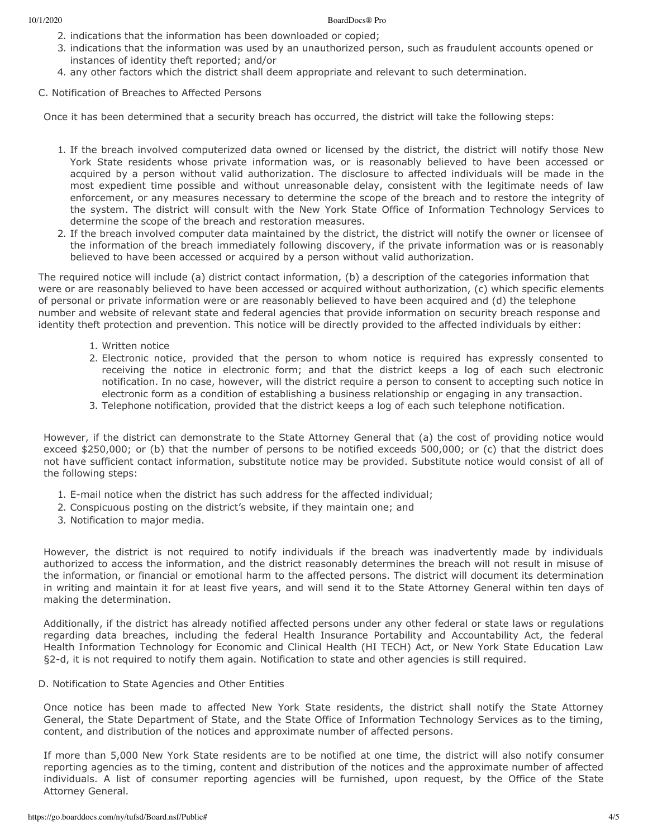- 2. indications that the information has been downloaded or copied;
- 3. indications that the information was used by an unauthorized person, such as fraudulent accounts opened or instances of identity theft reported; and/or
- 4. any other factors which the district shall deem appropriate and relevant to such determination.

C. Notification of Breaches to Affected Persons

Once it has been determined that a security breach has occurred, the district will take the following steps:

- 1. If the breach involved computerized data owned or licensed by the district, the district will notify those New York State residents whose private information was, or is reasonably believed to have been accessed or acquired by a person without valid authorization. The disclosure to affected individuals will be made in the most expedient time possible and without unreasonable delay, consistent with the legitimate needs of law enforcement, or any measures necessary to determine the scope of the breach and to restore the integrity of the system. The district will consult with the New York State Office of Information Technology Services to determine the scope of the breach and restoration measures.
- 2. If the breach involved computer data maintained by the district, the district will notify the owner or licensee of the information of the breach immediately following discovery, if the private information was or is reasonably believed to have been accessed or acquired by a person without valid authorization.

The required notice will include (a) district contact information, (b) a description of the categories information that were or are reasonably believed to have been accessed or acquired without authorization, (c) which specific elements of personal or private information were or are reasonably believed to have been acquired and (d) the telephone number and website of relevant state and federal agencies that provide information on security breach response and identity theft protection and prevention. This notice will be directly provided to the affected individuals by either:

- 1. Written notice
- 2. Electronic notice, provided that the person to whom notice is required has expressly consented to receiving the notice in electronic form; and that the district keeps a log of each such electronic notification. In no case, however, will the district require a person to consent to accepting such notice in electronic form as a condition of establishing a business relationship or engaging in any transaction.
- 3. Telephone notification, provided that the district keeps a log of each such telephone notification.

However, if the district can demonstrate to the State Attorney General that (a) the cost of providing notice would exceed \$250,000; or (b) that the number of persons to be notified exceeds 500,000; or (c) that the district does not have sufficient contact information, substitute notice may be provided. Substitute notice would consist of all of the following steps:

- 1. E-mail notice when the district has such address for the affected individual;
- 2. Conspicuous posting on the district's website, if they maintain one; and
- 3. Notification to major media.

However, the district is not required to notify individuals if the breach was inadvertently made by individuals authorized to access the information, and the district reasonably determines the breach will not result in misuse of the information, or financial or emotional harm to the affected persons. The district will document its determination in writing and maintain it for at least five years, and will send it to the State Attorney General within ten days of making the determination.

Additionally, if the district has already notified affected persons under any other federal or state laws or regulations regarding data breaches, including the federal Health Insurance Portability and Accountability Act, the federal Health Information Technology for Economic and Clinical Health (HI TECH) Act, or New York State Education Law §2-d, it is not required to notify them again. Notification to state and other agencies is still required.

D. Notification to State Agencies and Other Entities

Once notice has been made to affected New York State residents, the district shall notify the State Attorney General, the State Department of State, and the State Office of Information Technology Services as to the timing, content, and distribution of the notices and approximate number of affected persons.

If more than 5,000 New York State residents are to be notified at one time, the district will also notify consumer reporting agencies as to the timing, content and distribution of the notices and the approximate number of affected individuals. A list of consumer reporting agencies will be furnished, upon request, by the Office of the State Attorney General.